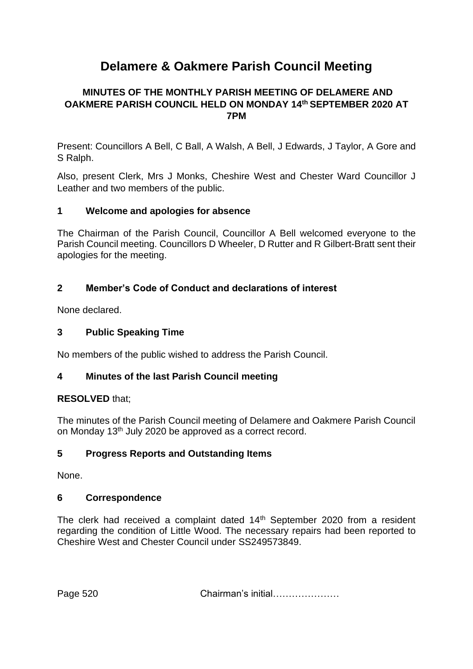# **Delamere & Oakmere Parish Council Meeting**

# **MINUTES OF THE MONTHLY PARISH MEETING OF DELAMERE AND OAKMERE PARISH COUNCIL HELD ON MONDAY 14th SEPTEMBER 2020 AT 7PM**

Present: Councillors A Bell, C Ball, A Walsh, A Bell, J Edwards, J Taylor, A Gore and S Ralph.

Also, present Clerk, Mrs J Monks, Cheshire West and Chester Ward Councillor J Leather and two members of the public.

#### **1 Welcome and apologies for absence**

The Chairman of the Parish Council, Councillor A Bell welcomed everyone to the Parish Council meeting. Councillors D Wheeler, D Rutter and R Gilbert-Bratt sent their apologies for the meeting.

# **2 Member's Code of Conduct and declarations of interest**

None declared.

#### **3 Public Speaking Time**

No members of the public wished to address the Parish Council.

# **4 Minutes of the last Parish Council meeting**

#### **RESOLVED** that;

The minutes of the Parish Council meeting of Delamere and Oakmere Parish Council on Monday 13<sup>th</sup> July 2020 be approved as a correct record.

# **5 Progress Reports and Outstanding Items**

None.

#### **6 Correspondence**

The clerk had received a complaint dated 14<sup>th</sup> September 2020 from a resident regarding the condition of Little Wood. The necessary repairs had been reported to Cheshire West and Chester Council under SS249573849.

Page 520 **Chairman's initial…………………**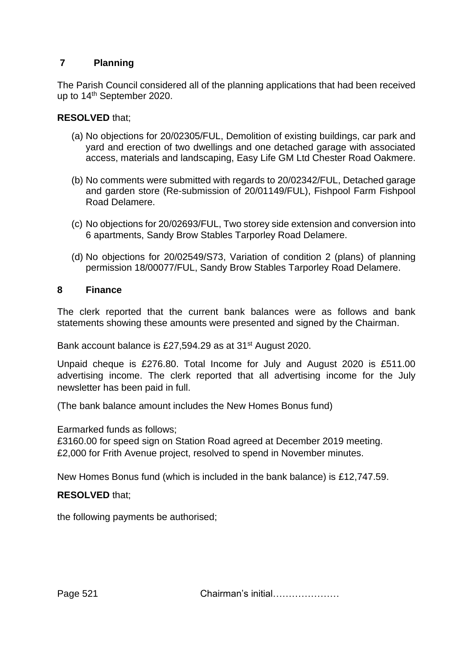# **7 Planning**

The Parish Council considered all of the planning applications that had been received up to 14th September 2020.

#### **RESOLVED** that;

- (a) No objections for 20/02305/FUL, Demolition of existing buildings, car park and yard and erection of two dwellings and one detached garage with associated access, materials and landscaping, Easy Life GM Ltd Chester Road Oakmere.
- (b) No comments were submitted with regards to 20/02342/FUL, Detached garage and garden store (Re-submission of 20/01149/FUL), Fishpool Farm Fishpool Road Delamere.
- (c) No objections for 20/02693/FUL, Two storey side extension and conversion into 6 apartments, Sandy Brow Stables Tarporley Road Delamere.
- (d) No objections for 20/02549/S73, Variation of condition 2 (plans) of planning permission 18/00077/FUL, Sandy Brow Stables Tarporley Road Delamere.

#### **8 Finance**

The clerk reported that the current bank balances were as follows and bank statements showing these amounts were presented and signed by the Chairman.

Bank account balance is £27,594.29 as at 31st August 2020.

Unpaid cheque is £276.80. Total Income for July and August 2020 is £511.00 advertising income. The clerk reported that all advertising income for the July newsletter has been paid in full.

(The bank balance amount includes the New Homes Bonus fund)

Earmarked funds as follows;

£3160.00 for speed sign on Station Road agreed at December 2019 meeting. £2,000 for Frith Avenue project, resolved to spend in November minutes.

New Homes Bonus fund (which is included in the bank balance) is £12,747.59.

# **RESOLVED** that;

the following payments be authorised;

Page 521 **Chairman's initial…………………**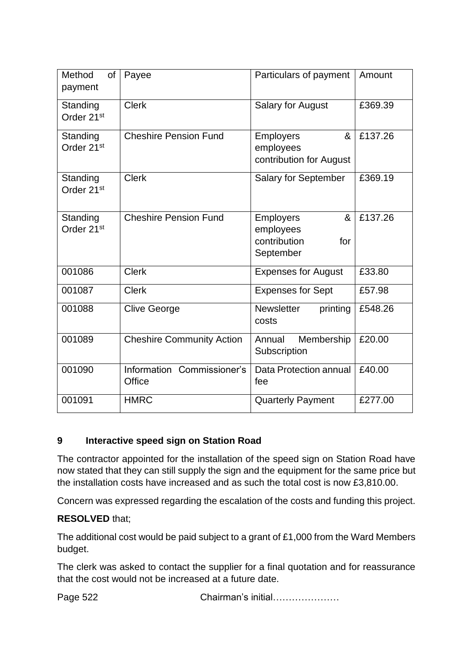| Method<br>of<br>payment            | Payee                                | Particulars of payment                                                 | Amount  |
|------------------------------------|--------------------------------------|------------------------------------------------------------------------|---------|
| Standing<br>Order 21 <sup>st</sup> | <b>Clerk</b>                         | <b>Salary for August</b>                                               | £369.39 |
| Standing<br>Order 21 <sup>st</sup> | <b>Cheshire Pension Fund</b>         | <b>Employers</b><br>&<br>employees<br>contribution for August          | £137.26 |
| Standing<br>Order 21 <sup>st</sup> | <b>Clerk</b>                         | Salary for September                                                   | £369.19 |
| Standing<br>Order 21 <sup>st</sup> | <b>Cheshire Pension Fund</b>         | <b>Employers</b><br>&<br>employees<br>contribution<br>for<br>September | £137.26 |
| 001086                             | <b>Clerk</b>                         | <b>Expenses for August</b>                                             | £33.80  |
| 001087                             | <b>Clerk</b>                         | <b>Expenses for Sept</b>                                               | £57.98  |
| 001088                             | <b>Clive George</b>                  | <b>Newsletter</b><br>printing<br>costs                                 | £548.26 |
| 001089                             | <b>Cheshire Community Action</b>     | Membership<br>Annual<br>Subscription                                   | £20.00  |
| 001090                             | Information Commissioner's<br>Office | <b>Data Protection annual</b><br>fee                                   | £40.00  |
| 001091                             | <b>HMRC</b>                          | <b>Quarterly Payment</b>                                               | £277.00 |

# **9 Interactive speed sign on Station Road**

The contractor appointed for the installation of the speed sign on Station Road have now stated that they can still supply the sign and the equipment for the same price but the installation costs have increased and as such the total cost is now £3,810.00.

Concern was expressed regarding the escalation of the costs and funding this project.

# **RESOLVED** that;

The additional cost would be paid subject to a grant of £1,000 from the Ward Members budget.

The clerk was asked to contact the supplier for a final quotation and for reassurance that the cost would not be increased at a future date.

Page 522 **Chairman's initial………………**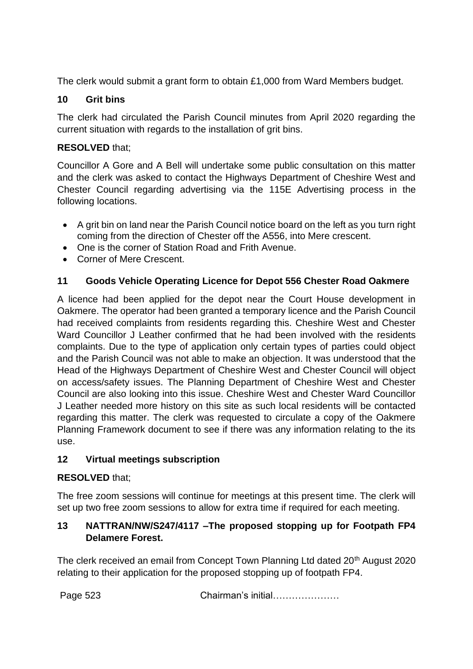The clerk would submit a grant form to obtain £1,000 from Ward Members budget.

# **10 Grit bins**

The clerk had circulated the Parish Council minutes from April 2020 regarding the current situation with regards to the installation of grit bins.

# **RESOLVED** that;

Councillor A Gore and A Bell will undertake some public consultation on this matter and the clerk was asked to contact the Highways Department of Cheshire West and Chester Council regarding advertising via the 115E Advertising process in the following locations.

- A grit bin on land near the Parish Council notice board on the left as you turn right coming from the direction of Chester off the A556, into Mere crescent.
- One is the corner of Station Road and Frith Avenue.
- Corner of Mere Crescent.

# **11 Goods Vehicle Operating Licence for Depot 556 Chester Road Oakmere**

A licence had been applied for the depot near the Court House development in Oakmere. The operator had been granted a temporary licence and the Parish Council had received complaints from residents regarding this. Cheshire West and Chester Ward Councillor J Leather confirmed that he had been involved with the residents complaints. Due to the type of application only certain types of parties could object and the Parish Council was not able to make an objection. It was understood that the Head of the Highways Department of Cheshire West and Chester Council will object on access/safety issues. The Planning Department of Cheshire West and Chester Council are also looking into this issue. Cheshire West and Chester Ward Councillor J Leather needed more history on this site as such local residents will be contacted regarding this matter. The clerk was requested to circulate a copy of the Oakmere Planning Framework document to see if there was any information relating to the its use.

# **12 Virtual meetings subscription**

# **RESOLVED** that;

The free zoom sessions will continue for meetings at this present time. The clerk will set up two free zoom sessions to allow for extra time if required for each meeting.

# **13 NATTRAN/NW/S247/4117 –The proposed stopping up for Footpath FP4 Delamere Forest.**

The clerk received an email from Concept Town Planning Ltd dated 20<sup>th</sup> August 2020 relating to their application for the proposed stopping up of footpath FP4.

Page 523 Chairman's initial…………………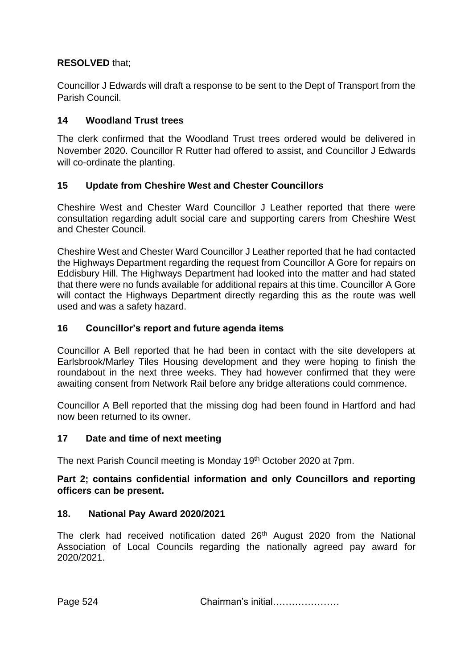# **RESOLVED** that;

Councillor J Edwards will draft a response to be sent to the Dept of Transport from the Parish Council.

# **14 Woodland Trust trees**

The clerk confirmed that the Woodland Trust trees ordered would be delivered in November 2020. Councillor R Rutter had offered to assist, and Councillor J Edwards will co-ordinate the planting.

# **15 Update from Cheshire West and Chester Councillors**

Cheshire West and Chester Ward Councillor J Leather reported that there were consultation regarding adult social care and supporting carers from Cheshire West and Chester Council.

Cheshire West and Chester Ward Councillor J Leather reported that he had contacted the Highways Department regarding the request from Councillor A Gore for repairs on Eddisbury Hill. The Highways Department had looked into the matter and had stated that there were no funds available for additional repairs at this time. Councillor A Gore will contact the Highways Department directly regarding this as the route was well used and was a safety hazard.

# **16 Councillor's report and future agenda items**

Councillor A Bell reported that he had been in contact with the site developers at Earlsbrook/Marley Tiles Housing development and they were hoping to finish the roundabout in the next three weeks. They had however confirmed that they were awaiting consent from Network Rail before any bridge alterations could commence.

Councillor A Bell reported that the missing dog had been found in Hartford and had now been returned to its owner.

# **17 Date and time of next meeting**

The next Parish Council meeting is Monday 19<sup>th</sup> October 2020 at 7pm.

# **Part 2; contains confidential information and only Councillors and reporting officers can be present.**

# **18. National Pay Award 2020/2021**

The clerk had received notification dated 26<sup>th</sup> August 2020 from the National Association of Local Councils regarding the nationally agreed pay award for 2020/2021.